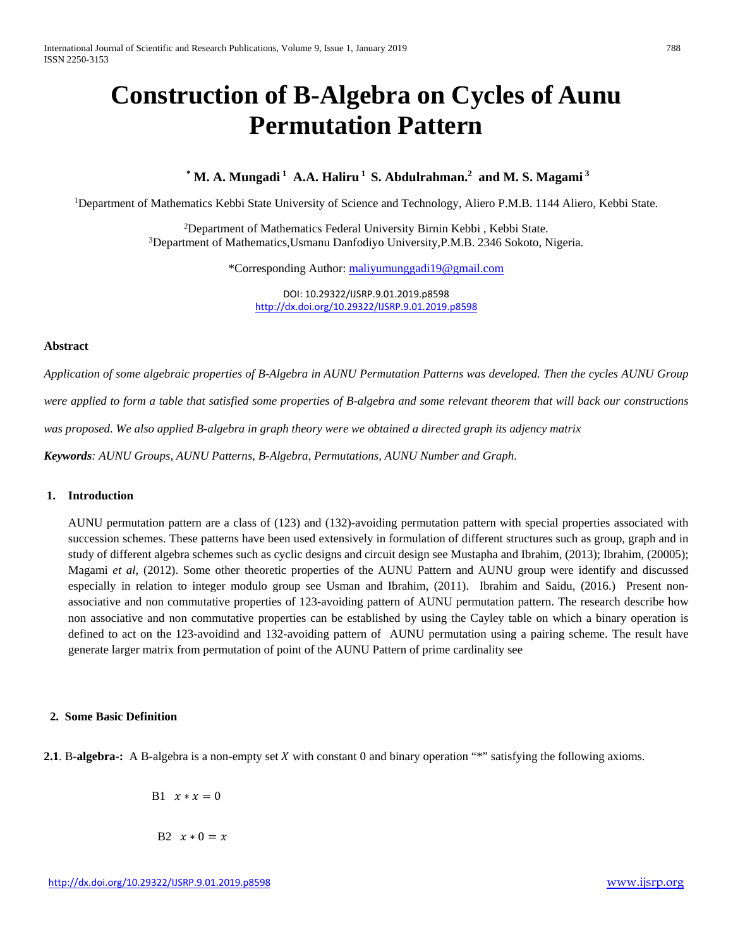# **Construction of B-Algebra on Cycles of Aunu Permutation Pattern**

# **\* M. A. Mungadi <sup>1</sup> A.A. Haliru <sup>1</sup> S. Abdulrahman. 2 and M. S. Magami <sup>3</sup>**

<sup>1</sup>Department of Mathematics Kebbi State University of Science and Technology, Aliero P.M.B. 1144 Aliero, Kebbi State.

<sup>2</sup>Department of Mathematics Federal University Birnin Kebbi, Kebbi State. 3 Department of Mathematics,Usmanu Danfodiyo University,P.M.B. 2346 Sokoto, Nigeria.

\*Corresponding Author[: maliyumunggadi19@gmail.com](mailto:maliyumunggadi19@gmail.com)

DOI: 10.29322/IJSRP.9.01.2019.p8598 <http://dx.doi.org/10.29322/IJSRP.9.01.2019.p8598>

#### **Abstract**

*Application of some algebraic properties of B-Algebra in AUNU Permutation Patterns was developed. Then the cycles AUNU Group were applied to form a table that satisfied some properties of B-algebra and some relevant theorem that will back our constructions was proposed. We also applied B-algebra in graph theory were we obtained a directed graph its adjency matrix Keywords: AUNU Groups, AUNU Patterns, B-Algebra, Permutations, AUNU Number and Graph*.

# **1. Introduction**

AUNU permutation pattern are a class of (123) and (132)-avoiding permutation pattern with special properties associated with succession schemes. These patterns have been used extensively in formulation of different structures such as group, graph and in study of different algebra schemes such as cyclic designs and circuit design see Mustapha and Ibrahim, (2013); Ibrahim, (20005); Magami *et al*, (2012). Some other theoretic properties of the AUNU Pattern and AUNU group were identify and discussed especially in relation to integer modulo group see Usman and Ibrahim, (2011). Ibrahim and Saidu, (2016.) Present nonassociative and non commutative properties of 123-avoiding pattern of AUNU permutation pattern. The research describe how non associative and non commutative properties can be established by using the Cayley table on which a binary operation is defined to act on the 123-avoidind and 132-avoiding pattern of AUNU permutation using a pairing scheme. The result have generate larger matrix from permutation of point of the AUNU Pattern of prime cardinality see

## **2. Some Basic Definition**

**2.1**. B-algebra-: A B-algebra is a non-empty set X with constant 0 and binary operation "\*" satisfying the following axioms.

B1  $x * x = 0$ 

B2  $x * 0 = x$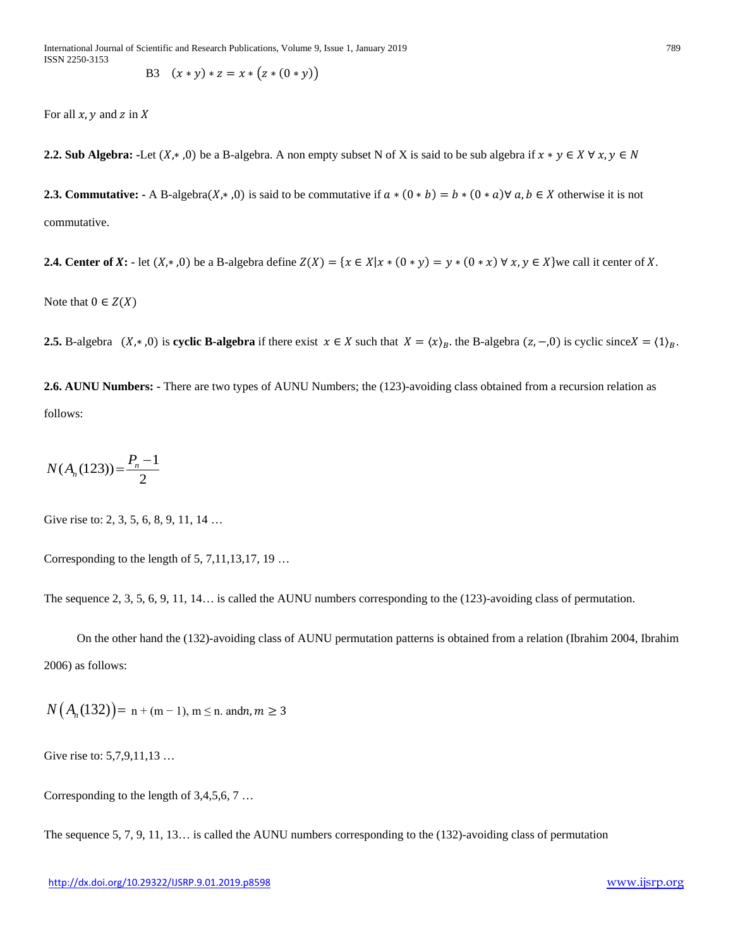B3 
$$
(x * y) * z = x * (z * (0 * y))
$$

For all  $x$ ,  $y$  and  $z$  in  $X$ 

**2.2. Sub Algebra:** -Let  $(X, *0)$  be a B-algebra. A non empty subset N of X is said to be sub algebra if  $x * y \in X \forall x, y \in N$ 

**2.3. Commutative:** - A B-algebra( $X$ , \*,0) is said to be commutative if  $a * (0 * b) = b * (0 * a) \forall a, b \in X$  otherwise it is not commutative.

**2.4. Center of X:** - let  $(X, * ,0)$  be a B-algebra define  $Z(X) = \{x \in X | x * (0 * y) = y * (0 * x) \forall x, y \in X\}$ we call it center of X.

Note that  $0 \in Z(X)$ 

**2.5.** B-algebra  $(X, * , 0)$  is **cyclic B-algebra** if there exist  $x \in X$  such that  $X = \langle x \rangle_B$ , the B-algebra  $(z, -0)$  is cyclic since  $X = \langle 1 \rangle_B$ .

**2.6. AUNU Numbers: -** There are two types of AUNU Numbers; the (123)-avoiding class obtained from a recursion relation as follows:

$$
N(A_n(123)) = \frac{P_n - 1}{2}
$$

Give rise to: 2, 3, 5, 6, 8, 9, 11, 14 ...

Corresponding to the length of  $5, 7, 11, 13, 17, 19$  ...

The sequence 2, 3, 5, 6, 9, 11, 14… is called the AUNU numbers corresponding to the (123)-avoiding class of permutation.

 On the other hand the (132)-avoiding class of AUNU permutation patterns is obtained from a relation (Ibrahim 2004, Ibrahim 2006) as follows:

 $N(A_n(132)) = n + (m-1), m \le n$ . andn,  $m \ge 3$ 

Give rise to: 5,7,9,11,13 …

Corresponding to the length of 3,4,5,6, 7 …

The sequence 5, 7, 9, 11, 13… is called the AUNU numbers corresponding to the (132)-avoiding class of permutation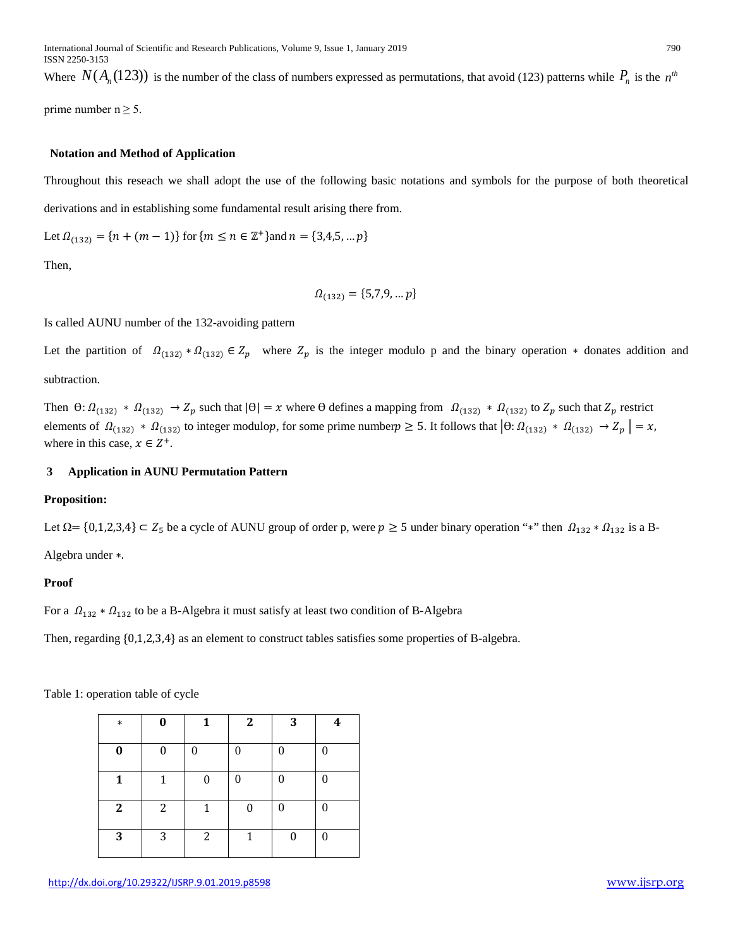Where  $N(A_n(123))$  is the number of the class of numbers expressed as permutations, that avoid (123) patterns while  $P_n$  is the  $n<sup>th</sup>$ 

prime number  $n \geq 5$ .

## **Notation and Method of Application**

Throughout this reseach we shall adopt the use of the following basic notations and symbols for the purpose of both theoretical derivations and in establishing some fundamental result arising there from.

Let 
$$
\Omega_{(132)} = \{n + (m-1)\}\
$$
 for  $\{m \le n \in \mathbb{Z}^+\}$  and  $n = \{3,4,5,...,p\}$ 

Then,

$$
\Omega_{(132)} = \{5,7,9, \dots p\}
$$

Is called AUNU number of the 132-avoiding pattern

Let the partition of  $\Omega_{(132)} * \Omega_{(132)} \in Z_p$  where  $Z_p$  is the integer modulo p and the binary operation  $*$  donates addition and subtraction.

Then  $\Theta: \Omega_{(132)} * \Omega_{(132)} \to Z_p$  such that  $|\Theta| = x$  where  $\Theta$  defines a mapping from  $\Omega_{(132)} * \Omega_{(132)}$  to  $Z_p$  such that  $Z_p$  restrict elements of  $\Omega_{(132)} * \Omega_{(132)}$  to integer modulop, for some prime number  $p \ge 5$ . It follows that  $\left|\theta: \Omega_{(132)} * \Omega_{(132)} \to Z_p\right| = x$ , where in this case,  $x \in Z^+$ .

#### **3 Application in AUNU Permutation Pattern**

#### **Proposition:**

Let  $\Omega = \{0,1,2,3,4\} \subset Z_5$  be a cycle of AUNU group of order p, were  $p \ge 5$  under binary operation "\*" then  $\Omega_{132} * \Omega_{132}$  is a B-Algebra under ∗.

#### **Proof**

For a  $\Omega_{132} * \Omega_{132}$  to be a B-Algebra it must satisfy at least two condition of B-Algebra

Then, regarding {0,1,2,3,4} as an element to construct tables satisfies some properties of B-algebra.

Table 1: operation table of cycle

| $\ast$       | 0        | 1 | $\mathbf{2}$ | 3 | 4 |
|--------------|----------|---|--------------|---|---|
| 0            | $\Omega$ | 0 | 0            | 0 | 0 |
| 1            | 1        | 0 |              | 0 | 0 |
| $\mathbf{2}$ | 2        | 1 | 0            | 0 | 0 |
| 3            | 3        | 2 | 1            | 0 |   |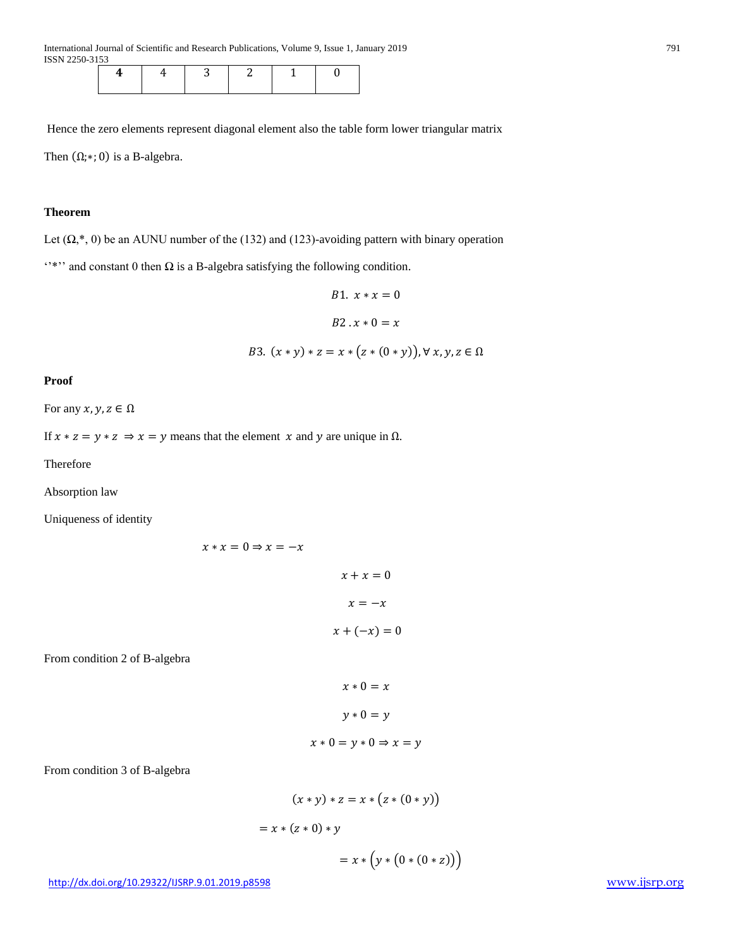International Journal of Scientific and Research Publications, Volume 9, Issue 1, January 2019 791 ISSN 2250-3153

Hence the zero elements represent diagonal element also the table form lower triangular matrix Then  $(\Omega; *; 0)$  is a B-algebra.

# **Theorem**

Let  $(\Omega,*,0)$  be an AUNU number of the (132) and (123)-avoiding pattern with binary operation

"\*" and constant 0 then  $\Omega$  is a B-algebra satisfying the following condition.

B1. 
$$
x * x = 0
$$
  
B2.  $x * 0 = x$   
B3.  $(x * y) * z = x * (z * (0 * y)), \forall x, y, z \in \Omega$ 

#### **Proof**

For any  $x, y, z \in \Omega$ 

If  $x * z = y * z \Rightarrow x = y$  means that the element x and y are unique in  $\Omega$ .

Therefore

Absorption law

Uniqueness of identity

```
x * x = 0 \Rightarrow x = -xx + x = 0x = -xx + (-x) = 0
```
From condition 2 of B-algebra

$$
x * 0 = x
$$
  

$$
y * 0 = y
$$
  

$$
x * 0 = y * 0 \Rightarrow x = y
$$

From condition 3 of B-algebra

$$
(x * y) * z = x * (z * (0 * y))
$$
  
= x \* (z \* 0) \* y  
= x \* (y \* (0 \* (0 \* z))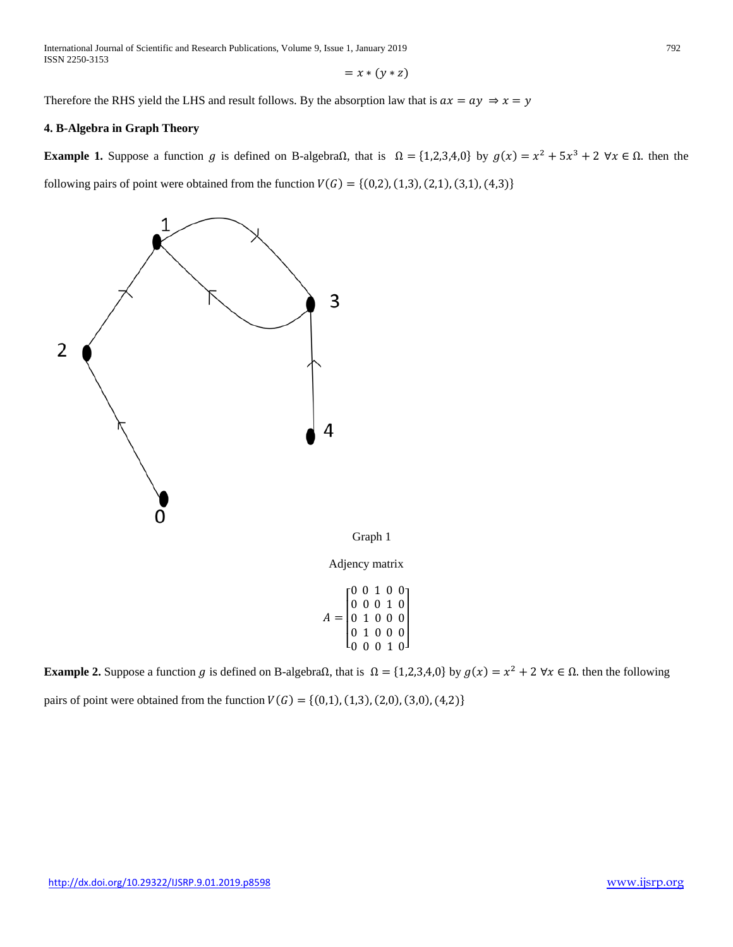International Journal of Scientific and Research Publications, Volume 9, Issue 1, January 2019 792 ISSN 2250-3153

$$
= x * (y * z)
$$

Therefore the RHS yield the LHS and result follows. By the absorption law that is  $ax = ay \Rightarrow x = y$ 

# **4. B-Algebra in Graph Theory**

**Example 1.** Suppose a function g is defined on B-algebraΩ, that is  $\Omega = \{1,2,3,4,0\}$  by  $g(x) = x^2 + 5x^3 + 2 \forall x \in \Omega$ . then the following pairs of point were obtained from the function  $V(G) = \{(0,2), (1,3), (2,1), (3,1), (4,3)\}\$ 



**Example 2.** Suppose a function g is defined on B-algebra $\Omega$ , that is  $\Omega = \{1,2,3,4,0\}$  by  $g(x) = x^2 + 2 \forall x \in \Omega$ . then the following pairs of point were obtained from the function  $V(G) = \{(0,1), (1,3), (2,0), (3,0), (4,2)\}\$